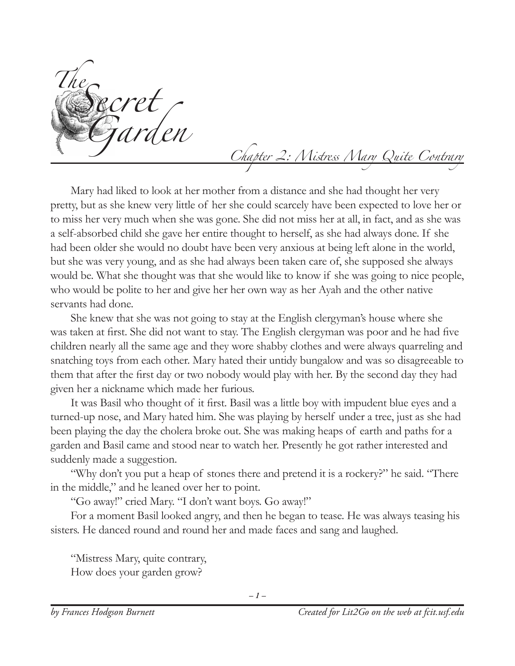*TheSecret Garden*

*Chapter 2: Mistress Mary Quite Contrary*

Mary had liked to look at her mother from a distance and she had thought her very pretty, but as she knew very little of her she could scarcely have been expected to love her or to miss her very much when she was gone. She did not miss her at all, in fact, and as she was a self-absorbed child she gave her entire thought to herself, as she had always done. If she had been older she would no doubt have been very anxious at being left alone in the world, but she was very young, and as she had always been taken care of, she supposed she always would be. What she thought was that she would like to know if she was going to nice people, who would be polite to her and give her her own way as her Ayah and the other native servants had done.

She knew that she was not going to stay at the English clergyman's house where she was taken at first. She did not want to stay. The English clergyman was poor and he had five children nearly all the same age and they wore shabby clothes and were always quarreling and snatching toys from each other. Mary hated their untidy bungalow and was so disagreeable to them that after the first day or two nobody would play with her. By the second day they had given her a nickname which made her furious.

It was Basil who thought of it first. Basil was a little boy with impudent blue eyes and a turned-up nose, and Mary hated him. She was playing by herself under a tree, just as she had been playing the day the cholera broke out. She was making heaps of earth and paths for a garden and Basil came and stood near to watch her. Presently he got rather interested and suddenly made a suggestion.

"Why don't you put a heap of stones there and pretend it is a rockery?" he said. "There in the middle," and he leaned over her to point.

"Go away!" cried Mary. "I don't want boys. Go away!"

For a moment Basil looked angry, and then he began to tease. He was always teasing his sisters. He danced round and round her and made faces and sang and laughed.

"Mistress Mary, quite contrary, How does your garden grow?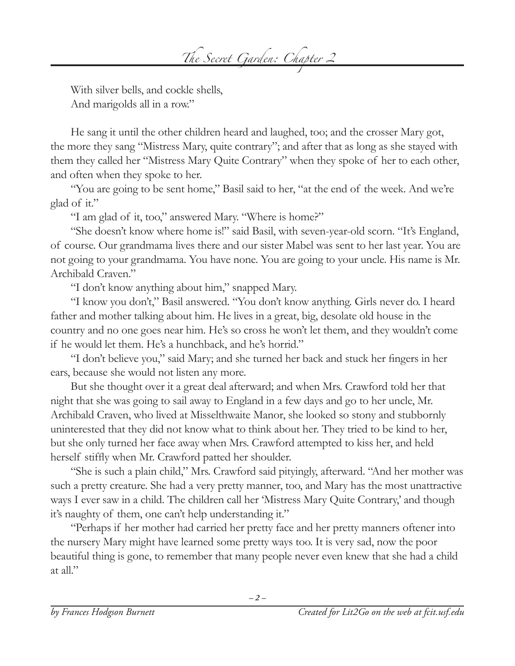With silver bells, and cockle shells, And marigolds all in a row."

He sang it until the other children heard and laughed, too; and the crosser Mary got, the more they sang "Mistress Mary, quite contrary"; and after that as long as she stayed with them they called her "Mistress Mary Quite Contrary" when they spoke of her to each other, and often when they spoke to her.

"You are going to be sent home," Basil said to her, "at the end of the week. And we're glad of it."

"I am glad of it, too," answered Mary. "Where is home?"

"She doesn't know where home is!" said Basil, with seven-year-old scorn. "It's England, of course. Our grandmama lives there and our sister Mabel was sent to her last year. You are not going to your grandmama. You have none. You are going to your uncle. His name is Mr. Archibald Craven."

"I don't know anything about him," snapped Mary.

"I know you don't," Basil answered. "You don't know anything. Girls never do. I heard father and mother talking about him. He lives in a great, big, desolate old house in the country and no one goes near him. He's so cross he won't let them, and they wouldn't come if he would let them. He's a hunchback, and he's horrid."

"I don't believe you," said Mary; and she turned her back and stuck her fingers in her ears, because she would not listen any more.

But she thought over it a great deal afterward; and when Mrs. Crawford told her that night that she was going to sail away to England in a few days and go to her uncle, Mr. Archibald Craven, who lived at Misselthwaite Manor, she looked so stony and stubbornly uninterested that they did not know what to think about her. They tried to be kind to her, but she only turned her face away when Mrs. Crawford attempted to kiss her, and held herself stiffly when Mr. Crawford patted her shoulder.

"She is such a plain child," Mrs. Crawford said pityingly, afterward. "And her mother was such a pretty creature. She had a very pretty manner, too, and Mary has the most unattractive ways I ever saw in a child. The children call her 'Mistress Mary Quite Contrary,' and though it's naughty of them, one can't help understanding it."

"Perhaps if her mother had carried her pretty face and her pretty manners oftener into the nursery Mary might have learned some pretty ways too. It is very sad, now the poor beautiful thing is gone, to remember that many people never even knew that she had a child at all."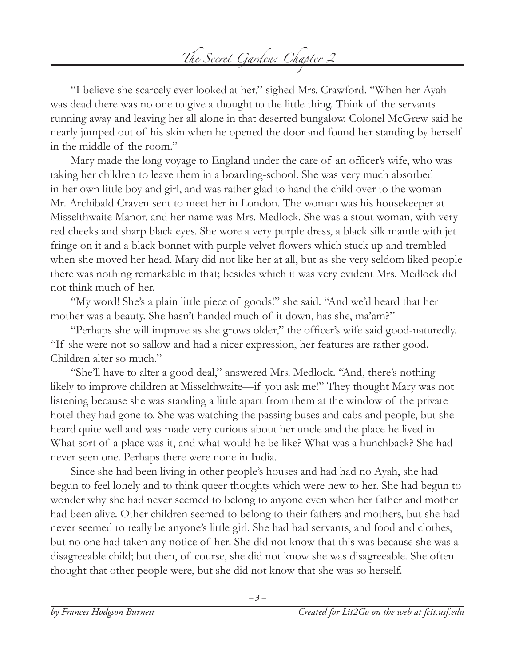"I believe she scarcely ever looked at her," sighed Mrs. Crawford. "When her Ayah was dead there was no one to give a thought to the little thing. Think of the servants running away and leaving her all alone in that deserted bungalow. Colonel McGrew said he nearly jumped out of his skin when he opened the door and found her standing by herself in the middle of the room."

Mary made the long voyage to England under the care of an officer's wife, who was taking her children to leave them in a boarding-school. She was very much absorbed in her own little boy and girl, and was rather glad to hand the child over to the woman Mr. Archibald Craven sent to meet her in London. The woman was his housekeeper at Misselthwaite Manor, and her name was Mrs. Medlock. She was a stout woman, with very red cheeks and sharp black eyes. She wore a very purple dress, a black silk mantle with jet fringe on it and a black bonnet with purple velvet flowers which stuck up and trembled when she moved her head. Mary did not like her at all, but as she very seldom liked people there was nothing remarkable in that; besides which it was very evident Mrs. Medlock did not think much of her.

"My word! She's a plain little piece of goods!" she said. "And we'd heard that her mother was a beauty. She hasn't handed much of it down, has she, ma'am?"

"Perhaps she will improve as she grows older," the officer's wife said good-naturedly. "If she were not so sallow and had a nicer expression, her features are rather good. Children alter so much."

"She'll have to alter a good deal," answered Mrs. Medlock. "And, there's nothing likely to improve children at Misselthwaite—if you ask me!" They thought Mary was not listening because she was standing a little apart from them at the window of the private hotel they had gone to. She was watching the passing buses and cabs and people, but she heard quite well and was made very curious about her uncle and the place he lived in. What sort of a place was it, and what would he be like? What was a hunchback? She had never seen one. Perhaps there were none in India.

Since she had been living in other people's houses and had had no Ayah, she had begun to feel lonely and to think queer thoughts which were new to her. She had begun to wonder why she had never seemed to belong to anyone even when her father and mother had been alive. Other children seemed to belong to their fathers and mothers, but she had never seemed to really be anyone's little girl. She had had servants, and food and clothes, but no one had taken any notice of her. She did not know that this was because she was a disagreeable child; but then, of course, she did not know she was disagreeable. She often thought that other people were, but she did not know that she was so herself.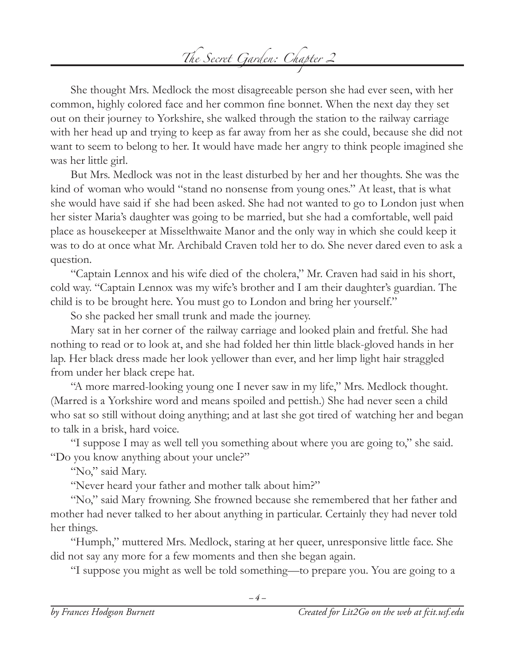She thought Mrs. Medlock the most disagreeable person she had ever seen, with her common, highly colored face and her common fine bonnet. When the next day they set out on their journey to Yorkshire, she walked through the station to the railway carriage with her head up and trying to keep as far away from her as she could, because she did not want to seem to belong to her. It would have made her angry to think people imagined she was her little girl.

But Mrs. Medlock was not in the least disturbed by her and her thoughts. She was the kind of woman who would "stand no nonsense from young ones." At least, that is what she would have said if she had been asked. She had not wanted to go to London just when her sister Maria's daughter was going to be married, but she had a comfortable, well paid place as housekeeper at Misselthwaite Manor and the only way in which she could keep it was to do at once what Mr. Archibald Craven told her to do. She never dared even to ask a question.

"Captain Lennox and his wife died of the cholera," Mr. Craven had said in his short, cold way. "Captain Lennox was my wife's brother and I am their daughter's guardian. The child is to be brought here. You must go to London and bring her yourself."

So she packed her small trunk and made the journey.

Mary sat in her corner of the railway carriage and looked plain and fretful. She had nothing to read or to look at, and she had folded her thin little black-gloved hands in her lap. Her black dress made her look yellower than ever, and her limp light hair straggled from under her black crepe hat.

"A more marred-looking young one I never saw in my life," Mrs. Medlock thought. (Marred is a Yorkshire word and means spoiled and pettish.) She had never seen a child who sat so still without doing anything; and at last she got tired of watching her and began to talk in a brisk, hard voice.

"I suppose I may as well tell you something about where you are going to," she said. "Do you know anything about your uncle?"

"No," said Mary.

"Never heard your father and mother talk about him?"

"No," said Mary frowning. She frowned because she remembered that her father and mother had never talked to her about anything in particular. Certainly they had never told her things.

"Humph," muttered Mrs. Medlock, staring at her queer, unresponsive little face. She did not say any more for a few moments and then she began again.

"I suppose you might as well be told something—to prepare you. You are going to a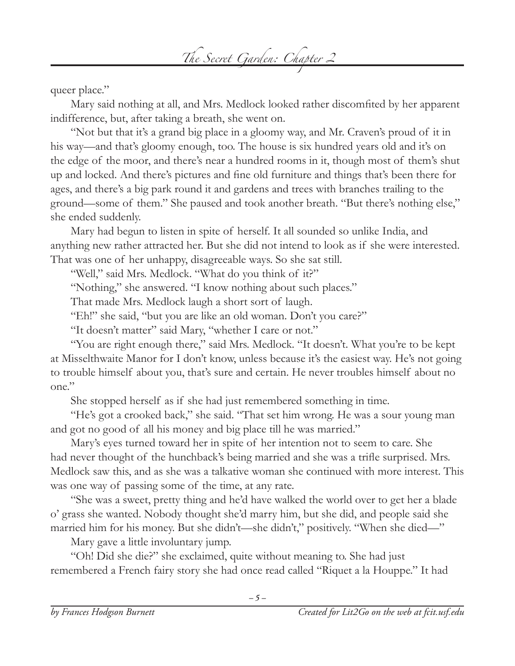

queer place."

Mary said nothing at all, and Mrs. Medlock looked rather discomfited by her apparent indifference, but, after taking a breath, she went on.

"Not but that it's a grand big place in a gloomy way, and Mr. Craven's proud of it in his way—and that's gloomy enough, too. The house is six hundred years old and it's on the edge of the moor, and there's near a hundred rooms in it, though most of them's shut up and locked. And there's pictures and fine old furniture and things that's been there for ages, and there's a big park round it and gardens and trees with branches trailing to the ground—some of them." She paused and took another breath. "But there's nothing else," she ended suddenly.

Mary had begun to listen in spite of herself. It all sounded so unlike India, and anything new rather attracted her. But she did not intend to look as if she were interested. That was one of her unhappy, disagreeable ways. So she sat still.

"Well," said Mrs. Medlock. "What do you think of it?"

"Nothing," she answered. "I know nothing about such places."

That made Mrs. Medlock laugh a short sort of laugh.

"Eh!" she said, "but you are like an old woman. Don't you care?"

"It doesn't matter" said Mary, "whether I care or not."

"You are right enough there," said Mrs. Medlock. "It doesn't. What you're to be kept at Misselthwaite Manor for I don't know, unless because it's the easiest way. He's not going to trouble himself about you, that's sure and certain. He never troubles himself about no one."

She stopped herself as if she had just remembered something in time.

"He's got a crooked back," she said. "That set him wrong. He was a sour young man and got no good of all his money and big place till he was married."

Mary's eyes turned toward her in spite of her intention not to seem to care. She had never thought of the hunchback's being married and she was a trifle surprised. Mrs. Medlock saw this, and as she was a talkative woman she continued with more interest. This was one way of passing some of the time, at any rate.

"She was a sweet, pretty thing and he'd have walked the world over to get her a blade o' grass she wanted. Nobody thought she'd marry him, but she did, and people said she married him for his money. But she didn't—she didn't," positively. "When she died—"

Mary gave a little involuntary jump.

"Oh! Did she die?" she exclaimed, quite without meaning to. She had just remembered a French fairy story she had once read called "Riquet a la Houppe." It had